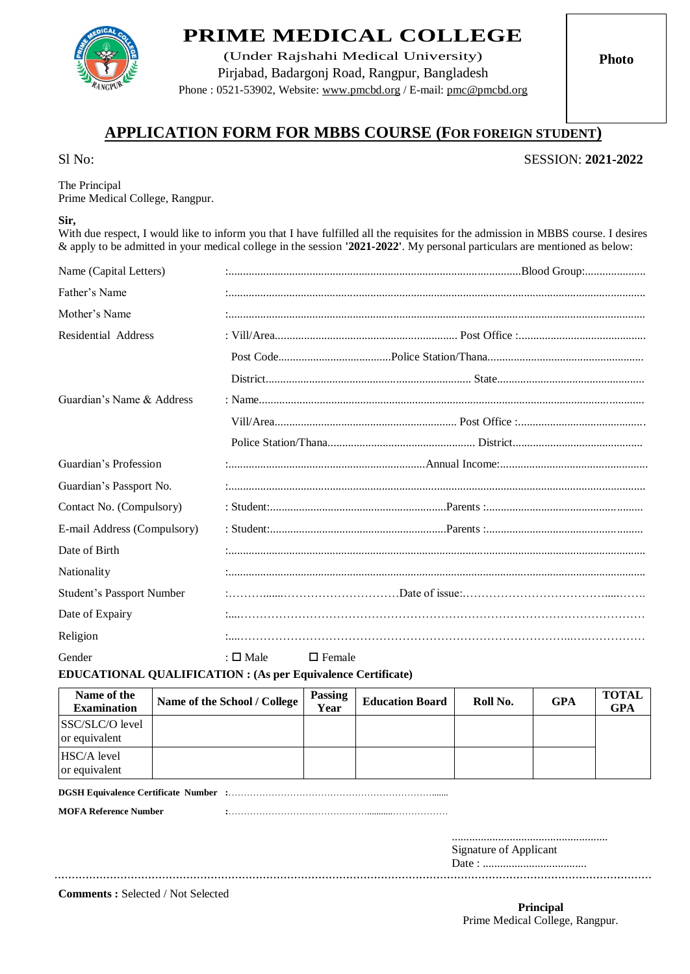

## **PRIME MEDICAL COLLEGE**

(Under Rajshahi Medical University) Pirjabad, Badargonj Road, Rangpur, Bangladesh Phone : 0521-53902, Website: www.pmcbd.org / E-mail: [pmc@pmcbd.org](mailto:pmcrang@gmail.com)

**Photo**

## **APPLICATION FORM FOR MBBS COURSE (FOR FOREIGN STUDENT)**

Sl No: SESSION: **2021-2022**

The Principal Prime Medical College, Rangpur.

## **Sir,**

With due respect, I would like to inform you that I have fulfilled all the requisites for the admission in MBBS course. I desires & apply to be admitted in your medical college in the session **'2021-2022'**. My personal particulars are mentioned as below:

| Name (Capital Letters)           |                                   |  |  |  |
|----------------------------------|-----------------------------------|--|--|--|
| Father's Name                    |                                   |  |  |  |
| Mother's Name                    |                                   |  |  |  |
| Residential Address              |                                   |  |  |  |
|                                  |                                   |  |  |  |
|                                  |                                   |  |  |  |
| Guardian's Name & Address        |                                   |  |  |  |
|                                  |                                   |  |  |  |
|                                  |                                   |  |  |  |
| Guardian's Profession            |                                   |  |  |  |
| Guardian's Passport No.          |                                   |  |  |  |
| Contact No. (Compulsory)         |                                   |  |  |  |
| E-mail Address (Compulsory)      |                                   |  |  |  |
| Date of Birth                    |                                   |  |  |  |
| Nationality                      |                                   |  |  |  |
| <b>Student's Passport Number</b> |                                   |  |  |  |
| Date of Expairy                  |                                   |  |  |  |
| Religion                         |                                   |  |  |  |
| Gender                           | : $\square$ Male<br>$\Box$ Female |  |  |  |

**EDUCATIONAL QUALIFICATION : (As per Equivalence Certificate)** 

| Name of the<br><b>Examination</b> | Name of the School / College | <b>Passing</b><br>Year | <b>Education Board</b> | Roll No. | GPA | <b>TOTAL</b><br><b>GPA</b> |
|-----------------------------------|------------------------------|------------------------|------------------------|----------|-----|----------------------------|
| SSC/SLC/O level<br>or equivalent  |                              |                        |                        |          |     |                            |
| HSC/A level<br>or equivalent      |                              |                        |                        |          |     |                            |

**DGSH Equivalence Certificate Number :**………………………………………………………….......

**MOFA Reference Number :**………………………………………...........………………

...................................................... Signature of Applicant

Date : ....................................

**Comments :** Selected / Not Selected